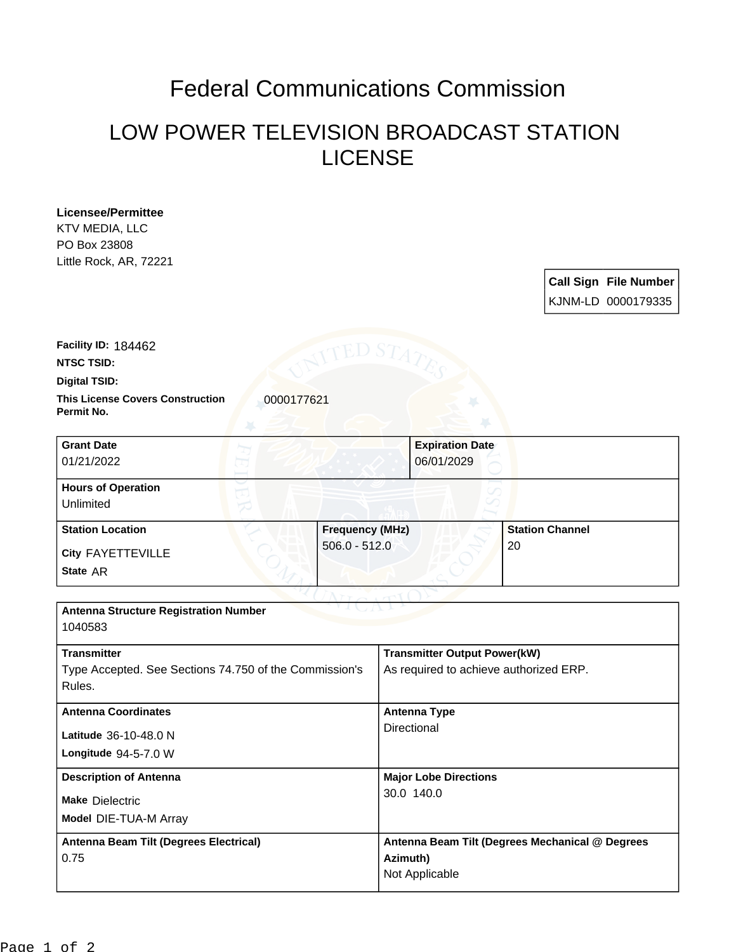## Federal Communications Commission

## LOW POWER TELEVISION BROADCAST STATION LICENSE

| <b>Licensee/Permittee</b><br>KTV MEDIA, LLC<br>PO Box 23808      |                        |                                        |                                                    |  |
|------------------------------------------------------------------|------------------------|----------------------------------------|----------------------------------------------------|--|
| Little Rock, AR, 72221                                           |                        |                                        | <b>Call Sign File Number</b><br>KJNM-LD 0000179335 |  |
| Facility ID: 184462<br><b>NTSC TSID:</b>                         | ED S7                  |                                        |                                                    |  |
| <b>Digital TSID:</b>                                             |                        |                                        |                                                    |  |
| <b>This License Covers Construction</b><br>Permit No.            | 0000177621             |                                        |                                                    |  |
| <b>Grant Date</b><br>01/21/2022                                  |                        | <b>Expiration Date</b><br>06/01/2029   |                                                    |  |
| <b>Hours of Operation</b><br>Unlimited                           |                        |                                        |                                                    |  |
| <b>Station Location</b>                                          | <b>Frequency (MHz)</b> |                                        | <b>Station Channel</b>                             |  |
| City FAYETTEVILLE                                                | $506.0 - 512.0$        |                                        | 20                                                 |  |
| State AR                                                         |                        |                                        |                                                    |  |
|                                                                  |                        |                                        |                                                    |  |
| <b>Antenna Structure Registration Number</b><br>1040583          |                        |                                        |                                                    |  |
| <b>Transmitter</b>                                               |                        | <b>Transmitter Output Power(kW)</b>    |                                                    |  |
| Type Accepted. See Sections 74.750 of the Commission's<br>Rules. |                        | As required to achieve authorized ERP. |                                                    |  |
| <b>Antenna Coordinates</b>                                       |                        | <b>Antenna Type</b>                    |                                                    |  |
| Latitude 36-10-48.0 N                                            |                        | Directional                            |                                                    |  |
| Longitude 94-5-7.0 W                                             |                        |                                        |                                                    |  |

30.0 140.0

**Azimuth)** Not Applicable

**Antenna Beam Tilt (Degrees Mechanical @ Degrees** 

**Description of Antenna Major Lobe Directions** 

**Model** DIE-TUA-M Array

**Antenna Beam Tilt (Degrees Electrical)**

**Make** Dielectric

0.75